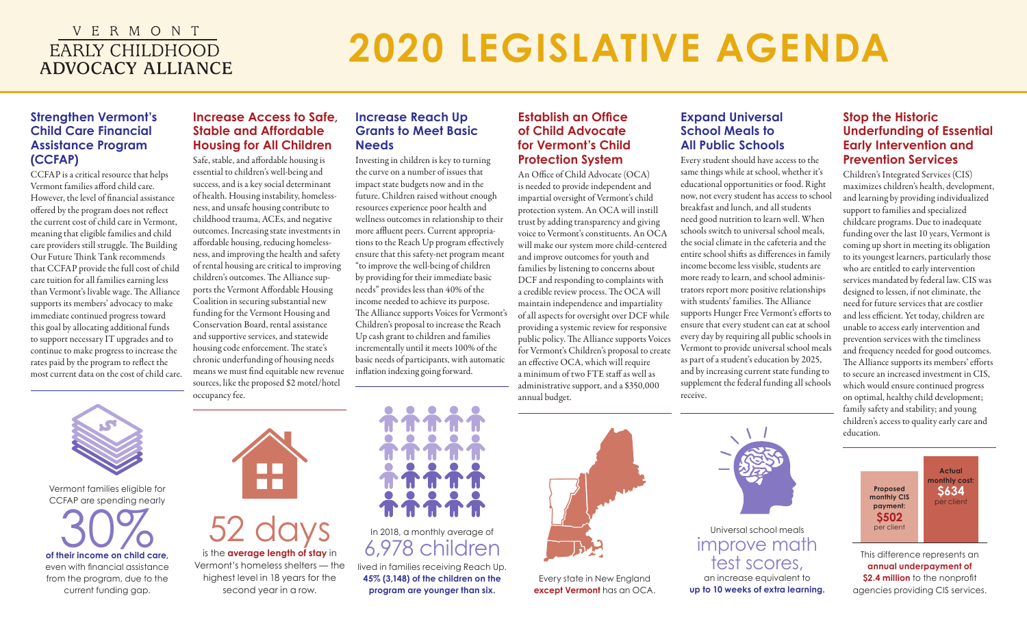## V E R M O N T **EARLY CHILDHOOD ADVOCACY ALLIANCE**

# **2020 LEGISLATIVE AGENDA**

### **Strengthen Vermont's Child Care Financial Assistance Program (CCFAP)**

CCFAP is a critical resource that helps Vermont families afford child care. However, the level of financial assistance offered by the program does not reflect the current cost of child care in Vermont, meaning that eligible families and child care providers still struggle. The Building Our Future Think Tank recommends that CCFAP provide the full cost of child care tuition for all families earning less than Vermont's livable wage. The Alliance supports its members' advocacy to make immediate continued progress toward this goal by allocating additional funds to support necessary IT upgrades and to continue to make progress to increase the rates paid by the program to reflect the most current data on the cost of child care.

## **Increase Access to Safe, Stable and Affordable Housing for All Children**

Safe, stable, and affordable housing is essential to children's well-being and success, and is a key social determinant of health. Housing instability, homelessness, and unsafe housing contribute to childhood trauma, ACEs, and negative outcomes. Increasing state investments in affordable housing, reducing homelessness, and improving the health and safety of rental housing are critical to improving children's outcomes. The Alliance supports the Vermont Affordable Housing Coalition in securing substantial new funding for the Vermont Housing and Conservation Board, rental assistance and supportive services, and statewide housing code enforcement. The state's chronic underfunding of housing needs means we must find equitable new revenue sources, like the proposed \$2 motel/hotel occupancy fee.

## **Increase Reach Up Grants to Meet Basic Needs**

Investing in children is key to turning the curve on a number of issues that impact state budgets now and in the future. Children raised without enough resources experience poor health and wellness outcomes in relationship to their more affluent peers. Current appropriations to the Reach Up program effectively ensure that this safety-net program meant "to improve the well-being of children by providing for their immediate basic needs" provides less than 40% of the income needed to achieve its purpose. The Alliance supports Voices for Vermont's Children's proposal to increase the Reach Up cash grant to children and families incrementally until it meets 100% of the basic needs of participants, with automatic inflation indexing going forward.

### **Establish an Office of Child Advocate for Vermont's Child Protection System**

An Office of Child Advocate (OCA) is needed to provide independent and impartial oversight of Vermont's child protection system. An OCA will instill trust by adding transparency and giving voice to Vermont's constituents. An OCA will make our system more child-centered and improve outcomes for youth and families by listening to concerns about DCF and responding to complaints with a credible review process. The OCA will maintain independence and impartiality of all aspects for oversight over DCF while providing a systemic review for responsive public policy. The Alliance supports Voices for Vermont's Children's proposal to create an effective OCA, which will require a minimum of two FTE staff as well as administrative support, and a \$350,000 annual budget.

## **Expand Universal School Meals to All Public Schools**

Every student should have access to the same things while at school, whether it's educational opportunities or food. Right now, not every student has access to school breakfast and lunch, and all students need good nutrition to learn well. When schools switch to universal school meals, the social climate in the cafeteria and the entire school shifts as differences in family income become less visible, students are more ready to learn, and school administrators report more positive relationships with students' families. The Alliance supports Hunger Free Vermont's efforts to ensure that every student can eat at school every day by requiring all public schools in Vermont to provide universal school meals as part of a student's education by 2025, and by increasing current state funding to supplement the federal funding all schools receive.

## **Stop the Historic Underfunding of Essential Early Intervention and Prevention Services**

Children's Integrated Services (CIS) maximizes children's health, development, and learning by providing individualized support to families and specialized childcare programs. Due to inadequate funding over the last 10 years, Vermont is coming up short in meeting its obligation to its youngest learners, particularly those who are entitled to early intervention services mandated by federal law. CIS was designed to lessen, if not eliminate, the need for future services that are costlier and less efficient. Yet today, children are unable to access early intervention and prevention services with the timeliness and frequency needed for good outcomes. The Alliance supports its members' efforts to secure an increased investment in CIS, which would ensure continued progress on optimal, healthy child development; family safety and stability; and young children's access to quality early care and education.



This difference represents an **annual underpayment of \$2.4 million** to the nonprofit agencies providing CIS services.



Vermont families eligible for CCFAP are spending nearly

of their income on child care, even with financial assistance from the program, due to the current funding gap.



## 52 days is the **average length of stay** in

Vermont's homeless shelters — the highest level in 18 years for the second year in a row.



## In 2018, a monthly average of 6,978 children

lived in families receiving Reach Up. **45% (3,148) of the children on the program are younger than six.** 



Every state in New England **except Vermont** has an OCA.



## Universal school meals improve math test scores,

an increase equivalent to **up to 10 weeks of extra learning.**